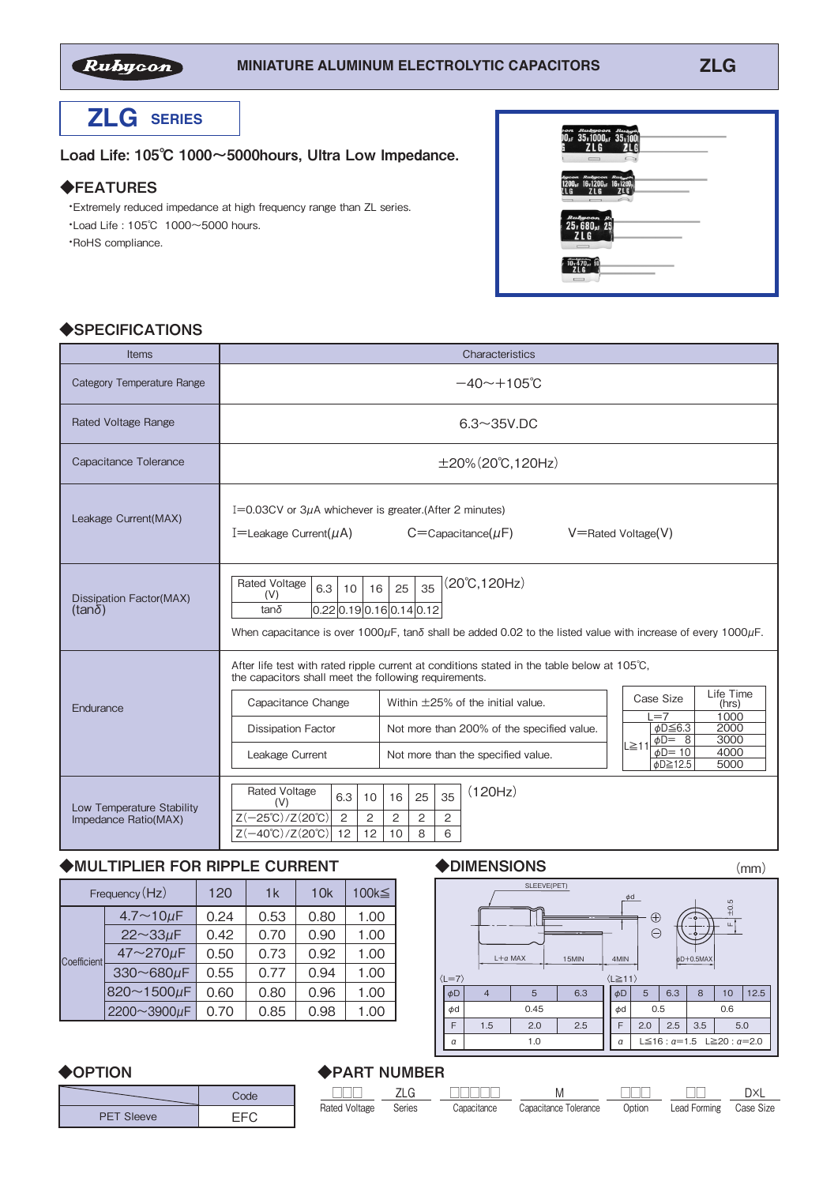

# **ZLG SERIES**

#### Load Life: 105℃ 1000~5000hours, Ultra Low Impedance.

### ◆FEATURES

 ・Extremely reduced impedance at high frequency range than ZL series. ・Load Life : 105℃ 1000~5000 hours. ・RoHS compliance.

| $\Box$                                                                                                  |  |
|---------------------------------------------------------------------------------------------------------|--|
| Ayson Rubyson Rubyson<br>1200 <sub>a</sub> r 16v1200 <sub>a</sub> r 16v1200 <sub>p</sub><br>2LG 2LG ZLG |  |
| $R$ ušycon $R_1$<br>25 v 680 µr 25<br>ZLG<br>$\overline{\phantom{a}}$                                   |  |
| $10,470$ , $10$<br>ß<br>$\equiv$                                                                        |  |

## ◆SPECIFICATIONS

| Items                                             | Characteristics                                                                                                                                                                                                                                                                                                                                                                                                                                                                                                             |  |  |  |  |  |
|---------------------------------------------------|-----------------------------------------------------------------------------------------------------------------------------------------------------------------------------------------------------------------------------------------------------------------------------------------------------------------------------------------------------------------------------------------------------------------------------------------------------------------------------------------------------------------------------|--|--|--|--|--|
| <b>Category Temperature Range</b>                 | $-40 \sim +105$ °C                                                                                                                                                                                                                                                                                                                                                                                                                                                                                                          |  |  |  |  |  |
| Rated Voltage Range                               | $6.3 \sim 35$ V.DC                                                                                                                                                                                                                                                                                                                                                                                                                                                                                                          |  |  |  |  |  |
| Capacitance Tolerance                             | $\pm 20\%$ (20°C, 120Hz)                                                                                                                                                                                                                                                                                                                                                                                                                                                                                                    |  |  |  |  |  |
| Leakage Current(MAX)                              | I=0.03CV or $3\mu$ A whichever is greater. (After 2 minutes)<br>I=Leakage Current( $\mu$ A)<br>$C =$ Capacitance( $\mu$ F)<br>$V =$ Rated Voltage $(V)$                                                                                                                                                                                                                                                                                                                                                                     |  |  |  |  |  |
| <b>Dissipation Factor(MAX)</b><br>(tanδ)          | $(20^{\circ}C, 120Hz)$<br><b>Rated Voltage</b><br>35<br>6.3<br>25<br>16<br>10<br>(V)<br>[0.22]0.19]0.16]0.14]0.12<br>$tan\delta$<br>When capacitance is over 1000 $\mu$ F, tan $\delta$ shall be added 0.02 to the listed value with increase of every 1000 $\mu$ F.                                                                                                                                                                                                                                                        |  |  |  |  |  |
| Endurance                                         | After life test with rated ripple current at conditions stated in the table below at 105°C.<br>the capacitors shall meet the following requirements.<br>Life Time<br>Case Size<br>Within $\pm$ 25% of the initial value.<br>Capacitance Change<br>(hrs)<br>1000<br>$=7$<br>$\phi$ D $\leq$ 6.3<br>2000<br><b>Dissipation Factor</b><br>Not more than 200% of the specified value.<br>3000<br>$\phi D = 8$<br>$L \geq 11$<br>$\phi$ D=10<br>4000<br>Not more than the specified value.<br>Leakage Current<br>¢D≧12.5<br>5000 |  |  |  |  |  |
| Low Temperature Stability<br>Impedance Ratio(MAX) | (120Hz)<br><b>Rated Voltage</b><br>35<br>6.3<br>16<br>25<br>10<br>(V)<br>$Z(-25^{\circ}\text{C})$ /Z $(20^{\circ}\text{C})$<br>2<br>2<br>2<br>2<br>2<br>$Z(-40^{\circ}\text{C})$ /Z $(20^{\circ}\text{C})$<br>12<br>12<br>8<br>6<br>10                                                                                                                                                                                                                                                                                      |  |  |  |  |  |

# ◆MULTIPLIER FOR RIPPLE CURRENT

| Frequency (Hz) |                    | 120  | 1k   | 10k  | 100k≦ |  |
|----------------|--------------------|------|------|------|-------|--|
| Coefficient    | $4.7 - 10 \mu F$   | 0.24 | 0.53 | 0.80 | 1.00  |  |
|                | $22 \sim 33 \mu F$ | 0.42 | 0.70 | 0.90 | 1.00  |  |
|                | 47~270µF           | 0.50 | 0.73 | 0.92 | 1.00  |  |
|                | 330~680µF          | 0.55 | 0.77 | 0.94 | 1.00  |  |
|                | 820~1500µF         | 0.60 | 0.80 | 0.96 | 1.00  |  |
|                | 2200~3900µF        | 0.70 | 0.85 | 0.98 | 1.00  |  |

#### ◆DIMENSIONS

(mm)

□□

Lead Forming Case Size

D×L



#### ◆PART NUMBER □□□ Rated Voltage Series ZLG □□□ Option □□□□□ **Capacitance** M Capacitance Tolerance ◆**OPTION** PET Sleeve Code EFC